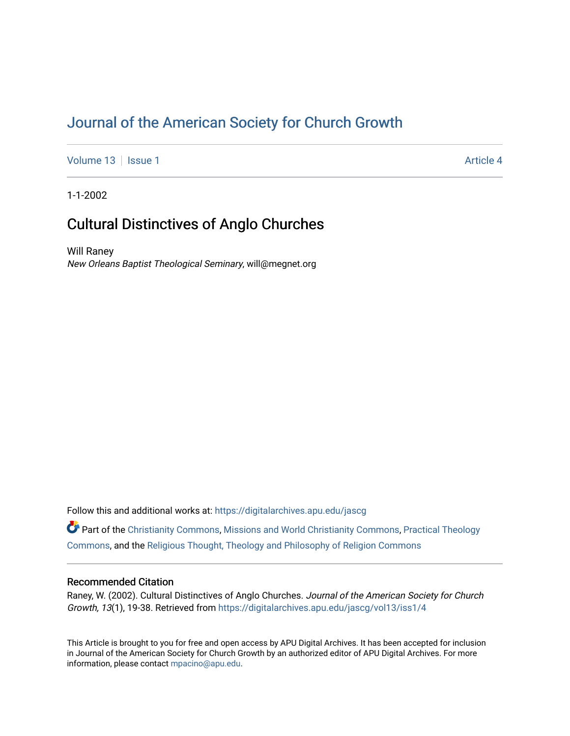# [Journal of the American Society for Church Growth](https://digitalarchives.apu.edu/jascg)

[Volume 13](https://digitalarchives.apu.edu/jascg/vol13) | [Issue 1](https://digitalarchives.apu.edu/jascg/vol13/iss1) Article 4

1-1-2002

# Cultural Distinctives of Anglo Churches

Will Raney New Orleans Baptist Theological Seminary, will@megnet.org

Follow this and additional works at: [https://digitalarchives.apu.edu/jascg](https://digitalarchives.apu.edu/jascg?utm_source=digitalarchives.apu.edu%2Fjascg%2Fvol13%2Fiss1%2F4&utm_medium=PDF&utm_campaign=PDFCoverPages) 

Part of the [Christianity Commons,](http://network.bepress.com/hgg/discipline/1181?utm_source=digitalarchives.apu.edu%2Fjascg%2Fvol13%2Fiss1%2F4&utm_medium=PDF&utm_campaign=PDFCoverPages) [Missions and World Christianity Commons](http://network.bepress.com/hgg/discipline/1187?utm_source=digitalarchives.apu.edu%2Fjascg%2Fvol13%2Fiss1%2F4&utm_medium=PDF&utm_campaign=PDFCoverPages), [Practical Theology](http://network.bepress.com/hgg/discipline/1186?utm_source=digitalarchives.apu.edu%2Fjascg%2Fvol13%2Fiss1%2F4&utm_medium=PDF&utm_campaign=PDFCoverPages)  [Commons](http://network.bepress.com/hgg/discipline/1186?utm_source=digitalarchives.apu.edu%2Fjascg%2Fvol13%2Fiss1%2F4&utm_medium=PDF&utm_campaign=PDFCoverPages), and the [Religious Thought, Theology and Philosophy of Religion Commons](http://network.bepress.com/hgg/discipline/544?utm_source=digitalarchives.apu.edu%2Fjascg%2Fvol13%2Fiss1%2F4&utm_medium=PDF&utm_campaign=PDFCoverPages) 

# Recommended Citation

Raney, W. (2002). Cultural Distinctives of Anglo Churches. Journal of the American Society for Church Growth, 13(1), 19-38. Retrieved from [https://digitalarchives.apu.edu/jascg/vol13/iss1/4](https://digitalarchives.apu.edu/jascg/vol13/iss1/4?utm_source=digitalarchives.apu.edu%2Fjascg%2Fvol13%2Fiss1%2F4&utm_medium=PDF&utm_campaign=PDFCoverPages)

This Article is brought to you for free and open access by APU Digital Archives. It has been accepted for inclusion in Journal of the American Society for Church Growth by an authorized editor of APU Digital Archives. For more information, please contact [mpacino@apu.edu](mailto:mpacino@apu.edu).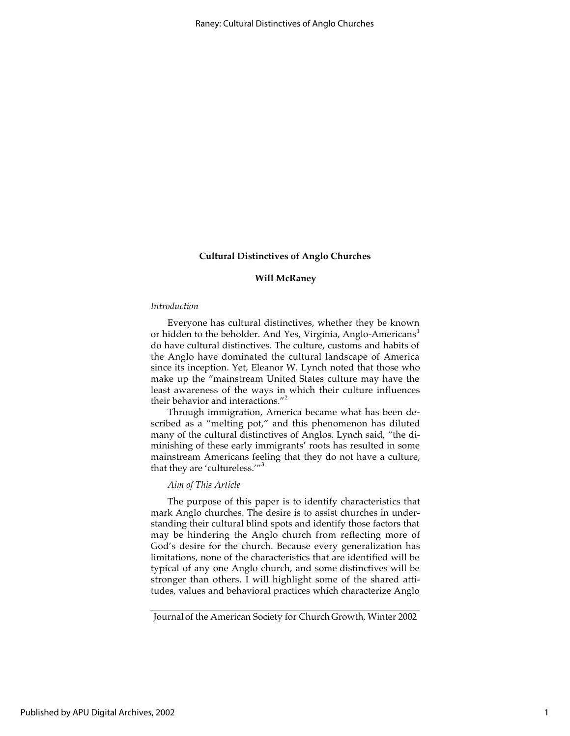# **Will McRaney**

#### *Introduction*

Everyone has cultural distinctives, whether they be known or hidden to the beholder. And Yes, Virginia, Anglo-Americans<sup>1</sup> do have cultural distinctives. The culture, customs and habits of the Anglo have dominated the cultural landscape of America since its inception. Yet, Eleanor W. Lynch noted that those who make up the "mainstream United States culture may have the least awareness of the ways in which their culture influences their behavior and interactions."<sup>2</sup>

Through immigration, America became what has been described as a "melting pot," and this phenomenon has diluted many of the cultural distinctives of Anglos. Lynch said, "the diminishing of these early immigrants' roots has resulted in some mainstream Americans feeling that they do not have a culture, that they are 'cultureless.'"<sup>3</sup>

# *Aim of This Article*

The purpose of this paper is to identify characteristics that mark Anglo churches. The desire is to assist churches in understanding their cultural blind spots and identify those factors that may be hindering the Anglo church from reflecting more of God's desire for the church. Because every generalization has limitations, none of the characteristics that are identified will be typical of any one Anglo church, and some distinctives will be stronger than others. I will highlight some of the shared attitudes, values and behavioral practices which characterize Anglo

Journal of the American Society for Church Growth, Winter 2002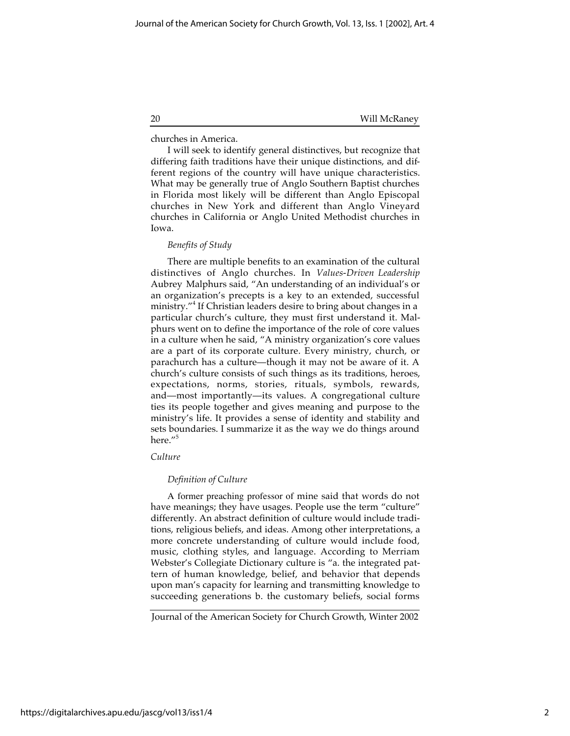churches in America.

I will seek to identify general distinctives, but recognize that differing faith traditions have their unique distinctions, and different regions of the country will have unique characteristics. What may be generally true of Anglo Southern Baptist churches in Florida most likely will be different than Anglo Episcopal churches in New York and different than Anglo Vineyard churches in California or Anglo United Methodist churches in Iowa.

# *Benefits of Study*

There are multiple benefits to an examination of the cultural distinctives of Anglo churches. In *Values-Driven Leadership* Aubrey Malphurs said, "An understanding of an individual's or an organization's precepts is a key to an extended, successful ministry."4 If Christian leaders desire to bring about changes in a particular church's culture, they must first understand it. Malphurs went on to define the importance of the role of core values in a culture when he said, "A ministry organization's core values are a part of its corporate culture. Every ministry, church, or parachurch has a culture—though it may not be aware of it. A church's culture consists of such things as its traditions, heroes, expectations, norms, stories, rituals, symbols, rewards, and—most importantly—its values. A congregational culture ties its people together and gives meaning and purpose to the ministry's life. It provides a sense of identity and stability and sets boundaries. I summarize it as the way we do things around here."<sup>5</sup>

# *Culture*

# *Definition of Culture*

A former preaching professor of mine said that words do not have meanings; they have usages. People use the term "culture" differently. An abstract definition of culture would include traditions, religious beliefs, and ideas. Among other interpretations, a more concrete understanding of culture would include food, music, clothing styles, and language. According to Merriam Webster's Collegiate Dictionary culture is "a. the integrated pattern of human knowledge, belief, and behavior that depends upon man's capacity for learning and transmitting knowledge to succeeding generations b. the customary beliefs, social forms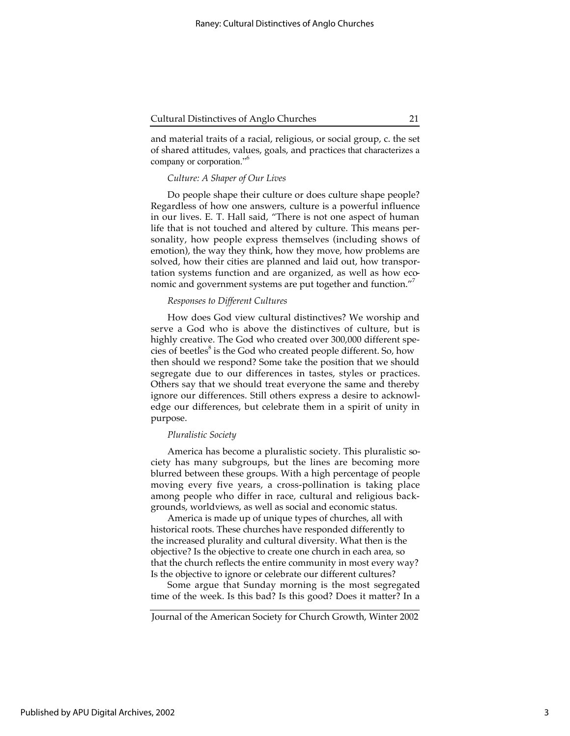and material traits of a racial, religious, or social group, c. the set of shared attitudes, values, goals, and practices that characterizes a company or corporation."<sup>6</sup>

#### *Culture: A Shaper of Our Lives*

Do people shape their culture or does culture shape people? Regardless of how one answers, culture is a powerful influence in our lives. E. T. Hall said, "There is not one aspect of human life that is not touched and altered by culture. This means personality, how people express themselves (including shows of emotion), the way they think, how they move, how problems are solved, how their cities are planned and laid out, how transportation systems function and are organized, as well as how economic and government systems are put together and function."

#### *Responses to Different Cultures*

How does God view cultural distinctives? We worship and serve a God who is above the distinctives of culture, but is highly creative. The God who created over 300,000 different species of beetles<sup>8</sup> is the God who created people different. So, how then should we respond? Some take the position that we should segregate due to our differences in tastes, styles or practices. Others say that we should treat everyone the same and thereby ignore our differences. Still others express a desire to acknowledge our differences, but celebrate them in a spirit of unity in purpose.

# *Pluralistic Society*

America has become a pluralistic society. This pluralistic society has many subgroups, but the lines are becoming more blurred between these groups. With a high percentage of people moving every five years, a cross-pollination is taking place among people who differ in race, cultural and religious backgrounds, worldviews, as well as social and economic status.

America is made up of unique types of churches, all with historical roots. These churches have responded differently to the increased plurality and cultural diversity. What then is the objective? Is the objective to create one church in each area, so that the church reflects the entire community in most every way? Is the objective to ignore or celebrate our different cultures?

Some argue that Sunday morning is the most segregated time of the week. Is this bad? Is this good? Does it matter? In a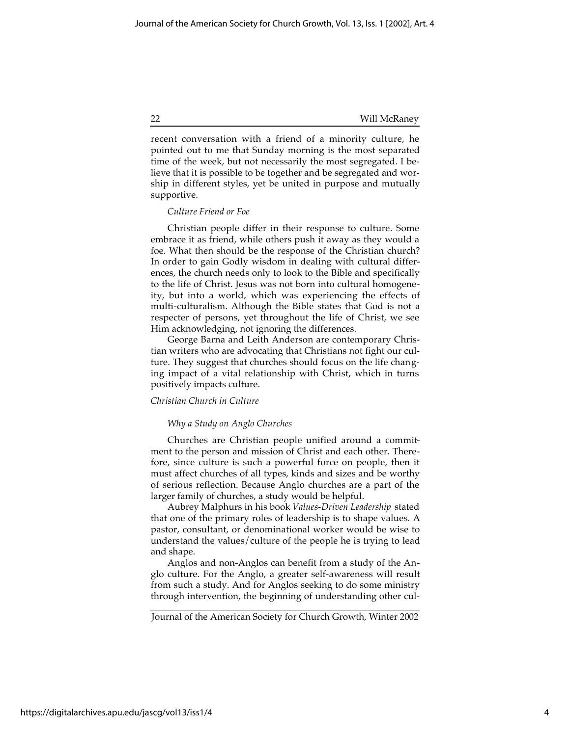recent conversation with a friend of a minority culture, he pointed out to me that Sunday morning is the most separated time of the week, but not necessarily the most segregated. I believe that it is possible to be together and be segregated and worship in different styles, yet be united in purpose and mutually supportive.

# *Culture Friend or Foe*

Christian people differ in their response to culture. Some embrace it as friend, while others push it away as they would a foe. What then should be the response of the Christian church? In order to gain Godly wisdom in dealing with cultural differences, the church needs only to look to the Bible and specifically to the life of Christ. Jesus was not born into cultural homogeneity, but into a world, which was experiencing the effects of multi-culturalism. Although the Bible states that God is not a respecter of persons, yet throughout the life of Christ, we see Him acknowledging, not ignoring the differences.

George Barna and Leith Anderson are contemporary Christian writers who are advocating that Christians not fight our culture. They suggest that churches should focus on the life changing impact of a vital relationship with Christ, which in turns positively impacts culture.

#### *Christian Church in Culture*

#### *Why a Study on Anglo Churches*

Churches are Christian people unified around a commitment to the person and mission of Christ and each other. Therefore, since culture is such a powerful force on people, then it must affect churches of all types, kinds and sizes and be worthy of serious reflection. Because Anglo churches are a part of the larger family of churches, a study would be helpful.

Aubrey Malphurs in his book *Values-Driven Leadership* stated that one of the primary roles of leadership is to shape values. A pastor, consultant, or denominational worker would be wise to understand the values/culture of the people he is trying to lead and shape.

Anglos and non-Anglos can benefit from a study of the Anglo culture. For the Anglo, a greater self-awareness will result from such a study. And for Anglos seeking to do some ministry through intervention, the beginning of understanding other cul-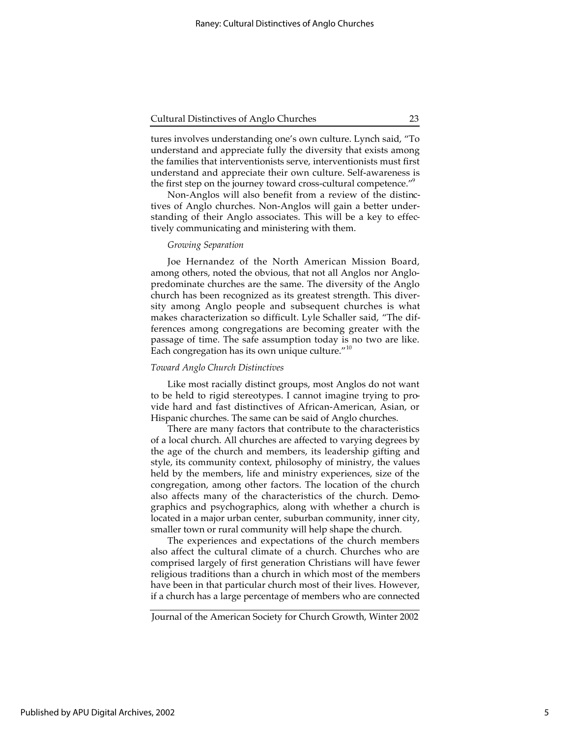tures involves understanding one's own culture. Lynch said, "To understand and appreciate fully the diversity that exists among the families that interventionists serve, interventionists must first understand and appreciate their own culture. Self-awareness is the first step on the journey toward cross-cultural competence."<sup>9</sup>

Non-Anglos will also benefit from a review of the distinctives of Anglo churches. Non-Anglos will gain a better understanding of their Anglo associates. This will be a key to effectively communicating and ministering with them.

# *Growing Separation*

Joe Hernandez of the North American Mission Board, among others, noted the obvious, that not all Anglos nor Anglopredominate churches are the same. The diversity of the Anglo church has been recognized as its greatest strength. This diversity among Anglo people and subsequent churches is what makes characterization so difficult. Lyle Schaller said, "The differences among congregations are becoming greater with the passage of time. The safe assumption today is no two are like. Each congregation has its own unique culture."<sup>10</sup>

#### *Toward Anglo Church Distinctives*

Like most racially distinct groups, most Anglos do not want to be held to rigid stereotypes. I cannot imagine trying to provide hard and fast distinctives of African-American, Asian, or Hispanic churches. The same can be said of Anglo churches.

There are many factors that contribute to the characteristics of a local church. All churches are affected to varying degrees by the age of the church and members, its leadership gifting and style, its community context, philosophy of ministry, the values held by the members, life and ministry experiences, size of the congregation, among other factors. The location of the church also affects many of the characteristics of the church. Demographics and psychographics, along with whether a church is located in a major urban center, suburban community, inner city, smaller town or rural community will help shape the church.

The experiences and expectations of the church members also affect the cultural climate of a church. Churches who are comprised largely of first generation Christians will have fewer religious traditions than a church in which most of the members have been in that particular church most of their lives. However, if a church has a large percentage of members who are connected

5

Journal of the American Society for Church Growth, Winter 2002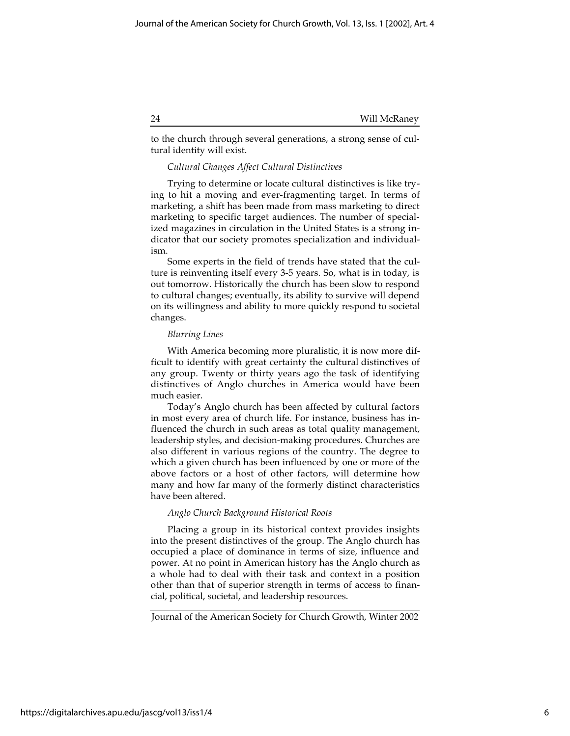to the church through several generations, a strong sense of cultural identity will exist.

# *Cultural Changes Affect Cultural Distinctives*

Trying to determine or locate cultural distinctives is like trying to hit a moving and ever-fragmenting target. In terms of marketing, a shift has been made from mass marketing to direct marketing to specific target audiences. The number of specialized magazines in circulation in the United States is a strong indicator that our society promotes specialization and individualism.

Some experts in the field of trends have stated that the culture is reinventing itself every 3-5 years. So, what is in today, is out tomorrow. Historically the church has been slow to respond to cultural changes; eventually, its ability to survive will depend on its willingness and ability to more quickly respond to societal changes.

# *Blurring Lines*

With America becoming more pluralistic, it is now more difficult to identify with great certainty the cultural distinctives of any group. Twenty or thirty years ago the task of identifying distinctives of Anglo churches in America would have been much easier.

Today's Anglo church has been affected by cultural factors in most every area of church life. For instance, business has influenced the church in such areas as total quality management, leadership styles, and decision-making procedures. Churches are also different in various regions of the country. The degree to which a given church has been influenced by one or more of the above factors or a host of other factors, will determine how many and how far many of the formerly distinct characteristics have been altered.

# *Anglo Church Background Historical Roots*

Placing a group in its historical context provides insights into the present distinctives of the group. The Anglo church has occupied a place of dominance in terms of size, influence and power. At no point in American history has the Anglo church as a whole had to deal with their task and context in a position other than that of superior strength in terms of access to financial, political, societal, and leadership resources.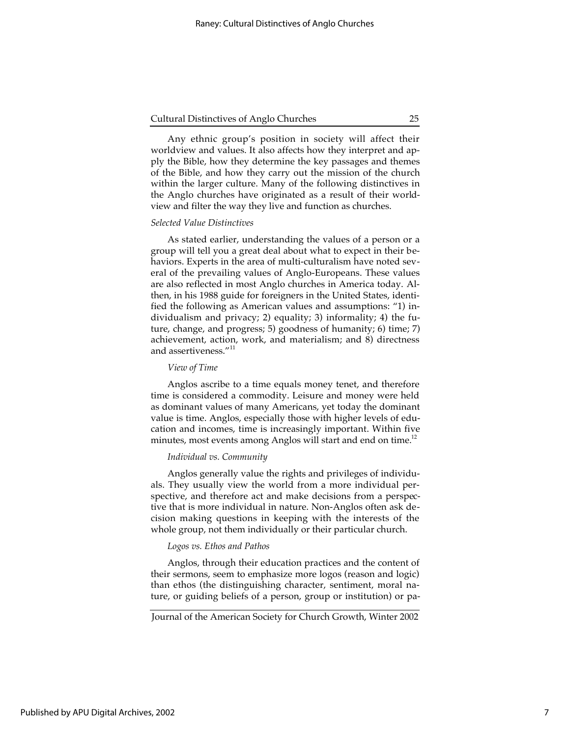Any ethnic group's position in society will affect their worldview and values. It also affects how they interpret and apply the Bible, how they determine the key passages and themes of the Bible, and how they carry out the mission of the church within the larger culture. Many of the following distinctives in the Anglo churches have originated as a result of their worldview and filter the way they live and function as churches.

#### *Selected Value Distinctives*

As stated earlier, understanding the values of a person or a group will tell you a great deal about what to expect in their behaviors. Experts in the area of multi-culturalism have noted several of the prevailing values of Anglo-Europeans. These values are also reflected in most Anglo churches in America today. Althen, in his 1988 guide for foreigners in the United States, identified the following as American values and assumptions: "1) individualism and privacy; 2) equality; 3) informality; 4) the future, change, and progress; 5) goodness of humanity; 6) time; 7) achievement, action, work, and materialism; and 8) directness and assertiveness."<sup>11</sup>

#### *View of Time*

Anglos ascribe to a time equals money tenet, and therefore time is considered a commodity. Leisure and money were held as dominant values of many Americans, yet today the dominant value is time. Anglos, especially those with higher levels of education and incomes, time is increasingly important. Within five minutes, most events among Anglos will start and end on time.<sup>12</sup>

# *Individual vs. Community*

Anglos generally value the rights and privileges of individuals. They usually view the world from a more individual perspective, and therefore act and make decisions from a perspective that is more individual in nature. Non-Anglos often ask decision making questions in keeping with the interests of the whole group, not them individually or their particular church.

#### *Logos vs. Ethos and Pathos*

Anglos, through their education practices and the content of their sermons, seem to emphasize more logos (reason and logic) than ethos (the distinguishing character, sentiment, moral nature, or guiding beliefs of a person, group or institution) or pa-

Journal of the American Society for Church Growth, Winter 2002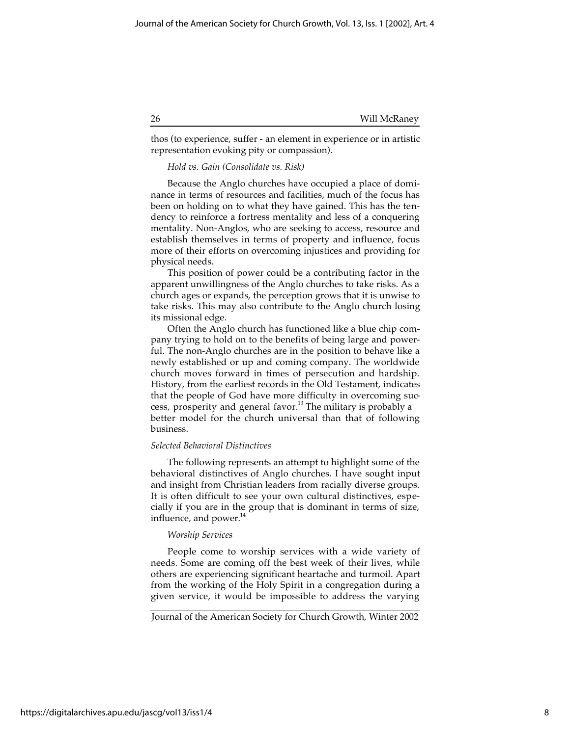thos (to experience, suffer - an element in experience or in artistic representation evoking pity or compassion).

# *Hold vs. Gain (Consolidate vs. Risk)*

Because the Anglo churches have occupied a place of dominance in terms of resources and facilities, much of the focus has been on holding on to what they have gained. This has the tendency to reinforce a fortress mentality and less of a conquering mentality. Non-Anglos, who are seeking to access, resource and establish themselves in terms of property and influence, focus more of their efforts on overcoming injustices and providing for physical needs.

This position of power could be a contributing factor in the apparent unwillingness of the Anglo churches to take risks. As a church ages or expands, the perception grows that it is unwise to take risks. This may also contribute to the Anglo church losing its missional edge.

Often the Anglo church has functioned like a blue chip company trying to hold on to the benefits of being large and powerful. The non-Anglo churches are in the position to behave like a newly established or up and coming company. The worldwide church moves forward in times of persecution and hardship. History, from the earliest records in the Old Testament, indicates that the people of God have more difficulty in overcoming success, prosperity and general favor.<sup>13</sup> The military is probably a better model for the church universal than that of following business.

# *Selected Behavioral Distinctives*

The following represents an attempt to highlight some of the behavioral distinctives of Anglo churches. I have sought input and insight from Christian leaders from racially diverse groups. It is often difficult to see your own cultural distinctives, especially if you are in the group that is dominant in terms of size, influence, and power.<sup>14</sup>

# *Worship Services*

People come to worship services with a wide variety of needs. Some are coming off the best week of their lives, while others are experiencing significant heartache and turmoil. Apart from the working of the Holy Spirit in a congregation during a given service, it would be impossible to address the varying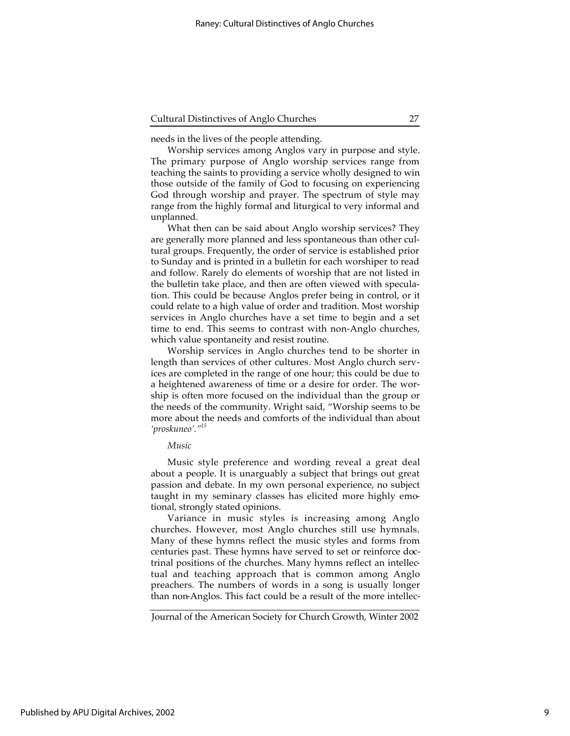needs in the lives of the people attending.

Worship services among Anglos vary in purpose and style. The primary purpose of Anglo worship services range from teaching the saints to providing a service wholly designed to win those outside of the family of God to focusing on experiencing God through worship and prayer. The spectrum of style may range from the highly formal and liturgical to very informal and unplanned.

What then can be said about Anglo worship services? They are generally more planned and less spontaneous than other cultural groups. Frequently, the order of service is established prior to Sunday and is printed in a bulletin for each worshiper to read and follow. Rarely do elements of worship that are not listed in the bulletin take place, and then are often viewed with speculation. This could be because Anglos prefer being in control, or it could relate to a high value of order and tradition. Most worship services in Anglo churches have a set time to begin and a set time to end. This seems to contrast with non-Anglo churches, which value spontaneity and resist routine.

Worship services in Anglo churches tend to be shorter in length than services of other cultures. Most Anglo church services are completed in the range of one hour; this could be due to a heightened awareness of time or a desire for order. The worship is often more focused on the individual than the group or the needs of the community. Wright said, "Worship seems to be more about the needs and comforts of the individual than about *'proskuneo'."15*

# *Music*

Music style preference and wording reveal a great deal about a people. It is unarguably a subject that brings out great passion and debate. In my own personal experience, no subject taught in my seminary classes has elicited more highly emotional, strongly stated opinions.

Variance in music styles is increasing among Anglo churches. However, most Anglo churches still use hymnals. Many of these hymns reflect the music styles and forms from centuries past. These hymns have served to set or reinforce doctrinal positions of the churches. Many hymns reflect an intellectual and teaching approach that is common among Anglo preachers. The numbers of words in a song is usually longer than non-Anglos. This fact could be a result of the more intellec-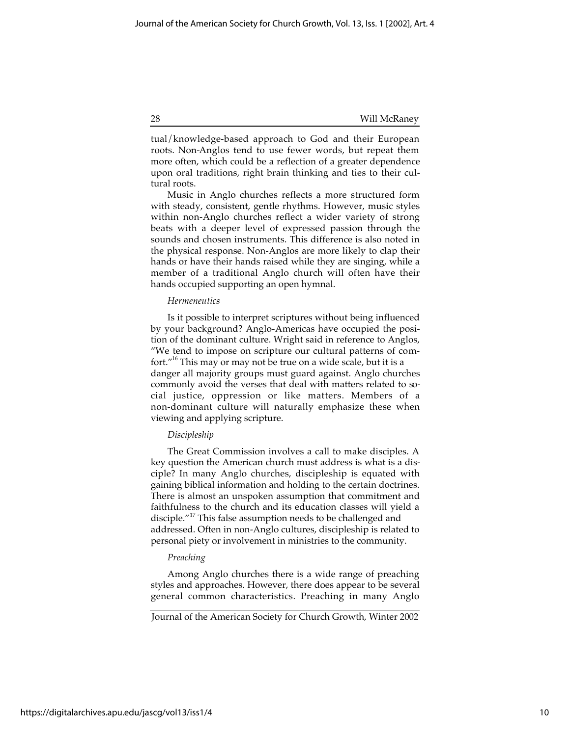tual/knowledge-based approach to God and their European roots. Non-Anglos tend to use fewer words, but repeat them more often, which could be a reflection of a greater dependence upon oral traditions, right brain thinking and ties to their cultural roots.

Music in Anglo churches reflects a more structured form with steady, consistent, gentle rhythms. However, music styles within non-Anglo churches reflect a wider variety of strong beats with a deeper level of expressed passion through the sounds and chosen instruments. This difference is also noted in the physical response. Non-Anglos are more likely to clap their hands or have their hands raised while they are singing, while a member of a traditional Anglo church will often have their hands occupied supporting an open hymnal.

# *Hermeneutics*

Is it possible to interpret scriptures without being influenced by your background? Anglo-Americas have occupied the position of the dominant culture. Wright said in reference to Anglos, "We tend to impose on scripture our cultural patterns of comfort."16 This may or may not be true on a wide scale, but it is a danger all majority groups must guard against. Anglo churches commonly avoid the verses that deal with matters related to social justice, oppression or like matters. Members of a non-dominant culture will naturally emphasize these when viewing and applying scripture.

# *Discipleship*

The Great Commission involves a call to make disciples. A key question the American church must address is what is a disciple? In many Anglo churches, discipleship is equated with gaining biblical information and holding to the certain doctrines. There is almost an unspoken assumption that commitment and faithfulness to the church and its education classes will yield a disciple."<sup>17</sup> This false assumption needs to be challenged and addressed. Often in non-Anglo cultures, discipleship is related to personal piety or involvement in ministries to the community.

# *Preaching*

Among Anglo churches there is a wide range of preaching styles and approaches. However, there does appear to be several general common characteristics. Preaching in many Anglo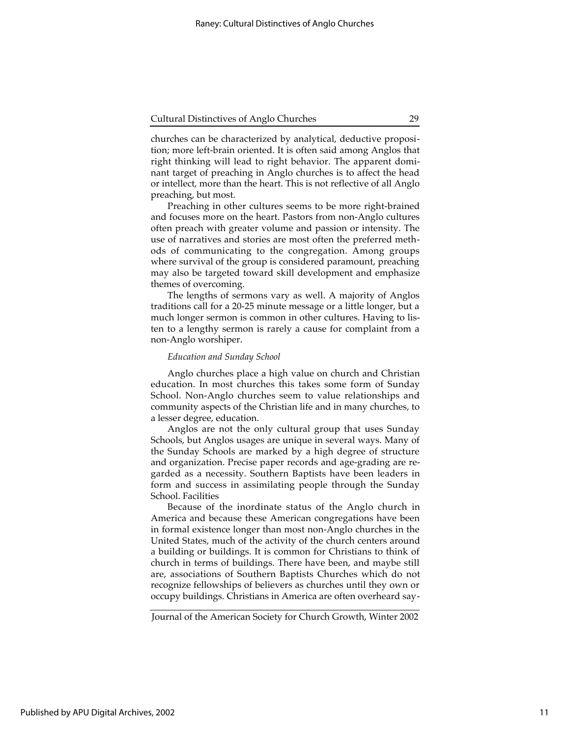churches can be characterized by analytical, deductive proposition; more left-brain oriented. It is often said among Anglos that right thinking will lead to right behavior. The apparent dominant target of preaching in Anglo churches is to affect the head or intellect, more than the heart. This is not reflective of all Anglo preaching, but most.

Preaching in other cultures seems to be more right-brained and focuses more on the heart. Pastors from non-Anglo cultures often preach with greater volume and passion or intensity. The use of narratives and stories are most often the preferred methods of communicating to the congregation. Among groups where survival of the group is considered paramount, preaching may also be targeted toward skill development and emphasize themes of overcoming.

The lengths of sermons vary as well. A majority of Anglos traditions call for a 20-25 minute message or a little longer, but a much longer sermon is common in other cultures. Having to listen to a lengthy sermon is rarely a cause for complaint from a non-Anglo worshiper.

#### *Education and Sunday School*

Anglo churches place a high value on church and Christian education. In most churches this takes some form of Sunday School. Non-Anglo churches seem to value relationships and community aspects of the Christian life and in many churches, to a lesser degree, education.

Anglos are not the only cultural group that uses Sunday Schools, but Anglos usages are unique in several ways. Many of the Sunday Schools are marked by a high degree of structure and organization. Precise paper records and age-grading are regarded as a necessity. Southern Baptists have been leaders in form and success in assimilating people through the Sunday School. Facilities

Because of the inordinate status of the Anglo church in America and because these American congregations have been in formal existence longer than most non-Anglo churches in the United States, much of the activity of the church centers around a building or buildings. It is common for Christians to think of church in terms of buildings. There have been, and maybe still are, associations of Southern Baptists Churches which do not recognize fellowships of believers as churches until they own or occupy buildings. Christians in America are often overheard say-

Journal of the American Society for Church Growth, Winter 2002

11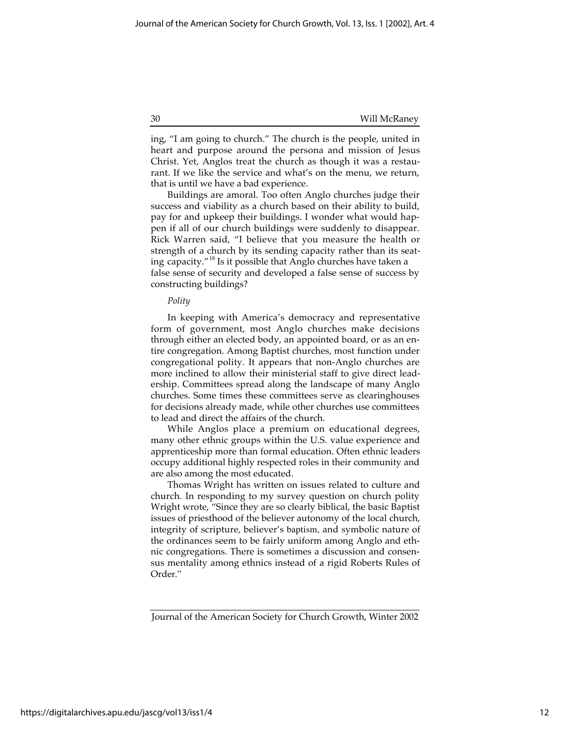ing, "I am going to church." The church is the people, united in heart and purpose around the persona and mission of Jesus Christ. Yet, Anglos treat the church as though it was a restaurant. If we like the service and what's on the menu, we return, that is until we have a bad experience.

Buildings are amoral. Too often Anglo churches judge their success and viability as a church based on their ability to build, pay for and upkeep their buildings. I wonder what would happen if all of our church buildings were suddenly to disappear. Rick Warren said, "I believe that you measure the health or strength of a church by its sending capacity rather than its seating capacity."18 Is it possible that Anglo churches have taken a false sense of security and developed a false sense of success by constructing buildings?

#### *Polity*

In keeping with America's democracy and representative form of government, most Anglo churches make decisions through either an elected body, an appointed board, or as an entire congregation. Among Baptist churches, most function under congregational polity. It appears that non-Anglo churches are more inclined to allow their ministerial staff to give direct leadership. Committees spread along the landscape of many Anglo churches. Some times these committees serve as clearinghouses for decisions already made, while other churches use committees to lead and direct the affairs of the church.

While Anglos place a premium on educational degrees, many other ethnic groups within the U.S. value experience and apprenticeship more than formal education. Often ethnic leaders occupy additional highly respected roles in their community and are also among the most educated.

Thomas Wright has written on issues related to culture and church. In responding to my survey question on church polity Wright wrote, "Since they are so clearly biblical, the basic Baptist issues of priesthood of the believer autonomy of the local church, integrity of scripture, believer's baptism, and symbolic nature of the ordinances seem to be fairly uniform among Anglo and ethnic congregations. There is sometimes a discussion and consensus mentality among ethnics instead of a rigid Roberts Rules of Order."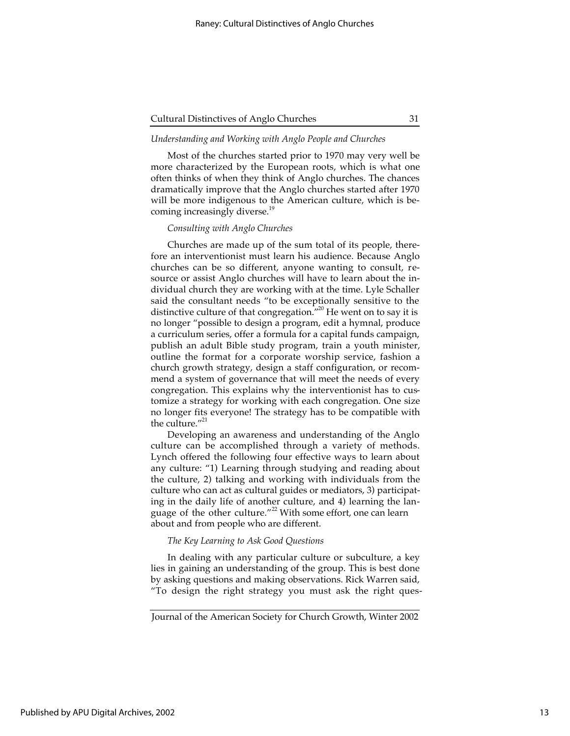# *Understanding and Working with Anglo People and Churches*

Most of the churches started prior to 1970 may very well be more characterized by the European roots, which is what one often thinks of when they think of Anglo churches. The chances dramatically improve that the Anglo churches started after 1970 will be more indigenous to the American culture, which is becoming increasingly diverse.<sup>19</sup>

#### *Consulting with Anglo Churches*

Churches are made up of the sum total of its people, therefore an interventionist must learn his audience. Because Anglo churches can be so different, anyone wanting to consult, resource or assist Anglo churches will have to learn about the individual church they are working with at the time. Lyle Schaller said the consultant needs "to be exceptionally sensitive to the distinctive culture of that congregation.<sup>"20</sup> He went on to say it is no longer "possible to design a program, edit a hymnal, produce a curriculum series, offer a formula for a capital funds campaign, publish an adult Bible study program, train a youth minister, outline the format for a corporate worship service, fashion a church growth strategy, design a staff configuration, or recommend a system of governance that will meet the needs of every congregation. This explains why the interventionist has to customize a strategy for working with each congregation. One size no longer fits everyone! The strategy has to be compatible with the culture. $^{\prime\prime 21}$ 

Developing an awareness and understanding of the Anglo culture can be accomplished through a variety of methods. Lynch offered the following four effective ways to learn about any culture: "1) Learning through studying and reading about the culture, 2) talking and working with individuals from the culture who can act as cultural guides or mediators, 3) participating in the daily life of another culture, and 4) learning the language of the other culture."<sup>22</sup> With some effort, one can learn about and from people who are different.

# *The Key Learning to Ask Good Questions*

In dealing with any particular culture or subculture, a key lies in gaining an understanding of the group. This is best done by asking questions and making observations. Rick Warren said, "To design the right strategy you must ask the right ques-

Journal of the American Society for Church Growth, Winter 2002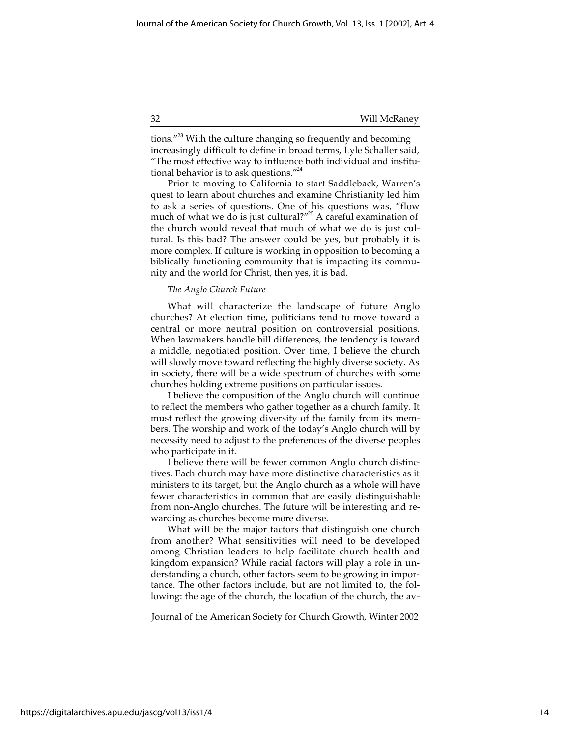tions."<sup>23</sup> With the culture changing so frequently and becoming increasingly difficult to define in broad terms, Lyle Schaller said, "The most effective way to influence both individual and institutional behavior is to ask questions."<sup>24</sup>

Prior to moving to California to start Saddleback, Warren's quest to learn about churches and examine Christianity led him to ask a series of questions. One of his questions was, "flow much of what we do is just cultural?"25 A careful examination of the church would reveal that much of what we do is just cultural. Is this bad? The answer could be yes, but probably it is more complex. If culture is working in opposition to becoming a biblically functioning community that is impacting its community and the world for Christ, then yes, it is bad.

# *The Anglo Church Future*

What will characterize the landscape of future Anglo churches? At election time, politicians tend to move toward a central or more neutral position on controversial positions. When lawmakers handle bill differences, the tendency is toward a middle, negotiated position. Over time, I believe the church will slowly move toward reflecting the highly diverse society. As in society, there will be a wide spectrum of churches with some churches holding extreme positions on particular issues.

I believe the composition of the Anglo church will continue to reflect the members who gather together as a church family. It must reflect the growing diversity of the family from its members. The worship and work of the today's Anglo church will by necessity need to adjust to the preferences of the diverse peoples who participate in it.

I believe there will be fewer common Anglo church distinctives. Each church may have more distinctive characteristics as it ministers to its target, but the Anglo church as a whole will have fewer characteristics in common that are easily distinguishable from non-Anglo churches. The future will be interesting and rewarding as churches become more diverse.

What will be the major factors that distinguish one church from another? What sensitivities will need to be developed among Christian leaders to help facilitate church health and kingdom expansion? While racial factors will play a role in understanding a church, other factors seem to be growing in importance. The other factors include, but are not limited to, the following: the age of the church, the location of the church, the av-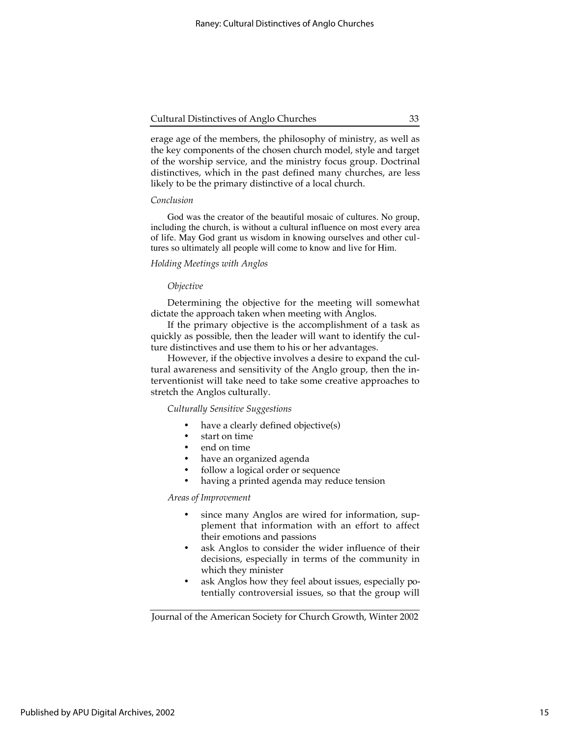erage age of the members, the philosophy of ministry, as well as the key components of the chosen church model, style and target of the worship service, and the ministry focus group. Doctrinal distinctives, which in the past defined many churches, are less likely to be the primary distinctive of a local church.

# *Conclusion*

God was the creator of the beautiful mosaic of cultures. No group, including the church, is without a cultural influence on most every area of life. May God grant us wisdom in knowing ourselves and other cultures so ultimately all people will come to know and live for Him.

#### *Holding Meetings with Anglos*

#### *Objective*

Determining the objective for the meeting will somewhat dictate the approach taken when meeting with Anglos.

If the primary objective is the accomplishment of a task as quickly as possible, then the leader will want to identify the culture distinctives and use them to his or her advantages.

However, if the objective involves a desire to expand the cultural awareness and sensitivity of the Anglo group, then the interventionist will take need to take some creative approaches to stretch the Anglos culturally.

# *Culturally Sensitive Suggestions*

have a clearly defined objective(s) start on time end on time have an organized agenda follow a logical order or sequence having a printed agenda may reduce tension

*Areas of Improvement*

since many Anglos are wired for information, supplement that information with an effort to affect their emotions and passions ask Anglos to consider the wider influence of their

decisions, especially in terms of the community in which they minister

ask Anglos how they feel about issues, especially potentially controversial issues, so that the group will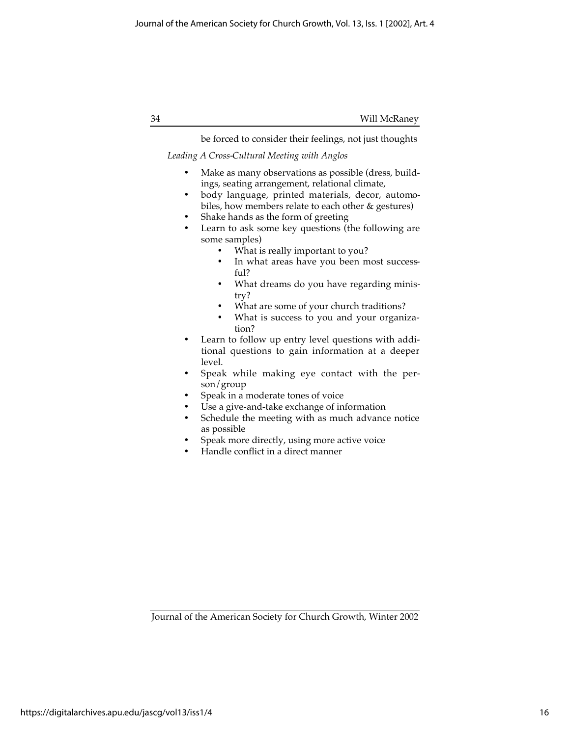34 Will McRaney

be forced to consider their feelings, not just thoughts

# *Leading A Cross-Cultural Meeting with Anglos*

Make as many observations as possible (dress, buildings, seating arrangement, relational climate, body language, printed materials, decor, automobiles, how members relate to each other & gestures) Shake hands as the form of greeting Learn to ask some key questions (the following are some samples) What is really important to you? In what areas have you been most successful? What dreams do you have regarding ministry? What are some of your church traditions? What is success to you and your organization? Learn to follow up entry level questions with additional questions to gain information at a deeper level. Speak while making eye contact with the person/group Speak in a moderate tones of voice Use a give-and-take exchange of information Schedule the meeting with as much advance notice as possible Speak more directly, using more active voice

Handle conflict in a direct manner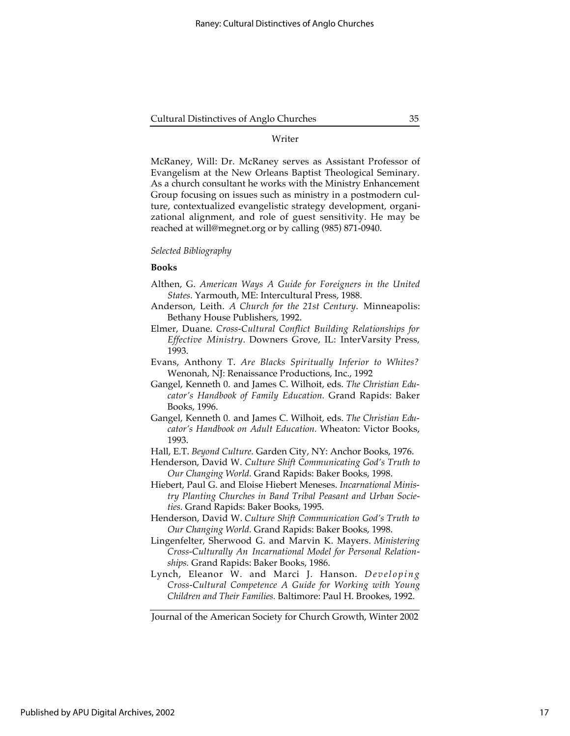# Writer

McRaney, Will: Dr. McRaney serves as Assistant Professor of Evangelism at the New Orleans Baptist Theological Seminary. As a church consultant he works with the Ministry Enhancement Group focusing on issues such as ministry in a postmodern culture, contextualized evangelistic strategy development, organizational alignment, and role of guest sensitivity. He may be reached at will@megnet.org or by calling (985) 871-0940.

# *Selected Bibliography*

# **Books**

- Althen, G. *American Ways A Guide for Foreigners in the United States*. Yarmouth, ME: Intercultural Press, 1988.
- Anderson, Leith. *A Church for the 21st Century*. Minneapolis: Bethany House Publishers, 1992.
- Elmer, Duane. *Cross-Cultural Conflict Building Relationships for Effective Ministry*. Downers Grove, IL: InterVarsity Press, 1993.
- Evans, Anthony T. *Are Blacks Spiritually Inferior to Whites?* Wenonah, NJ: Renaissance Productions, Inc., 1992
- Gangel, Kenneth 0. and James C. Wilhoit, eds. *The Christian Educator's Handbook of Family Education.* Grand Rapids: Baker Books, 1996.
- Gangel, Kenneth 0. and James C. Wilhoit, eds. *The Christian Educator's Handbook on Adult Education.* Wheaton: Victor Books, 1993.
- Hall, E.T. *Beyond Culture.* Garden City, NY: Anchor Books, 1976.
- Henderson, David W. *Culture Shift Communicating God's Truth to Our Changing World.* Grand Rapids: Baker Books, 1998.
- Hiebert, Paul G. and Eloise Hiebert Meneses. *Incarnational Ministry Planting Churches in Band Tribal Peasant and Urban Societies.* Grand Rapids: Baker Books, 1995.
- Henderson, David W. *Culture Shift Communication God's Truth to Our Changing World.* Grand Rapids: Baker Books, 1998.
- Lingenfelter, Sherwood G. and Marvin K. Mayers. *Ministering Cross-Culturally An Incarnational Model for Personal Relationships.* Grand Rapids: Baker Books, 1986.
- Lynch, Eleanor W. and Marci J. Hanson. *Developing Cross-Cultural Competence A Guide for Working with Young Children and Their Families.* Baltimore: Paul H. Brookes, 1992.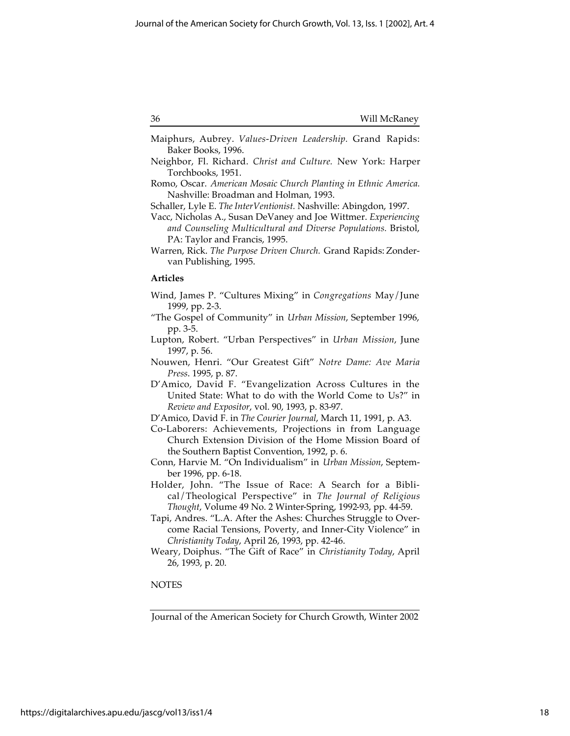| 36 | Will McRaney |
|----|--------------|
|    |              |

- Maiphurs, Aubrey. *Values-Driven Leadership.* Grand Rapids: Baker Books, 1996.
- Neighbor, Fl. Richard. *Christ and Culture.* New York: Harper Torchbooks, 1951.
- Romo, Oscar. *American Mosaic Church Planting in Ethnic America.* Nashville: Broadman and Holman, 1993.
- Schaller, Lyle E. *The InterVentionist.* Nashville: Abingdon, 1997.
- Vacc, Nicholas A., Susan DeVaney and Joe Wittmer. *Experiencing and Counseling Multicultural and Diverse Populations.* Bristol, PA: Taylor and Francis, 1995.
- Warren, Rick. *The Purpose Driven Church.* Grand Rapids: Zondervan Publishing, 1995.

#### **Articles**

- Wind, James P. "Cultures Mixing" in *Congregations* May/June 1999, pp. 2-3.
- "The Gospel of Community" in *Urban Mission*, September 1996, pp. 3-5.
- Lupton, Robert. "Urban Perspectives" in *Urban Mission*, June 1997, p. 56.
- Nouwen, Henri. "Our Greatest Gift" *Notre Dame: Ave Maria Press*. 1995, p. 87.
- D'Amico, David F. "Evangelization Across Cultures in the United State: What to do with the World Come to Us?" in *Review and Expositor*, vol. 90, 1993, p. 83-97.
- D'Amico, David F. in *The Courier Journal*, March 11, 1991, p. A3.
- Co-Laborers: Achievements, Projections in from Language Church Extension Division of the Home Mission Board of the Southern Baptist Convention, 1992, p. 6.
- Conn, Harvie M. "On Individualism" in *Urban Mission*, September 1996, pp. 6-18.
- Holder, John. "The Issue of Race: A Search for a Biblical/Theological Perspective" in *The Journal of Religious Thought*, Volume 49 No. 2 Winter-Spring, 1992-93, pp. 44-59.
- Tapi, Andres. "L.A. After the Ashes: Churches Struggle to Overcome Racial Tensions, Poverty, and Inner-City Violence" in *Christianity Today*, April 26, 1993, pp. 42-46.
- Weary, Doiphus. "The Gift of Race" in *Christianity Today*, April 26, 1993, p. 20.

# **NOTES**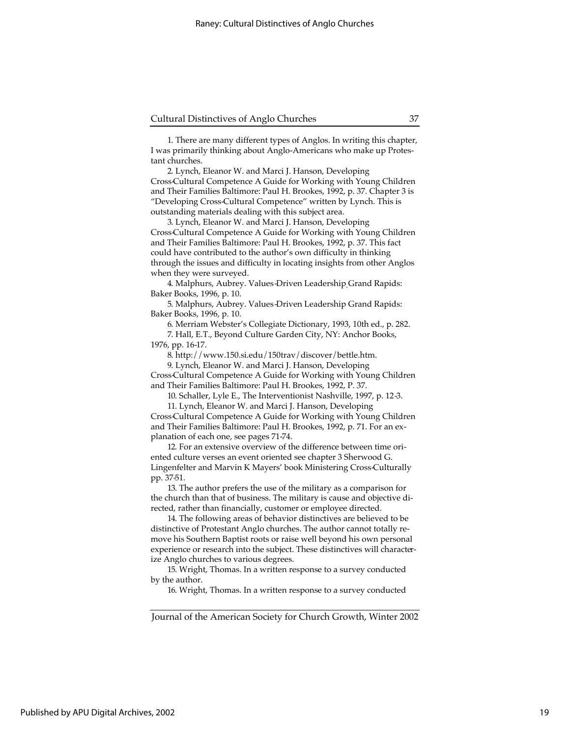1. There are many different types of Anglos. In writing this chapter, I was primarily thinking about Anglo-Americans who make up Protestant churches.

2. Lynch, Eleanor W. and Marci J. Hanson, Developing Cross-Cultural Competence A Guide for Working with Young Children and Their Families Baltimore: Paul H. Brookes, 1992, p. 37. Chapter 3 is "Developing Cross-Cultural Competence" written by Lynch. This is outstanding materials dealing with this subject area.

3. Lynch, Eleanor W. and Marci J. Hanson, Developing Cross-Cultural Competence A Guide for Working with Young Children and Their Families Baltimore: Paul H. Brookes, 1992, p. 37. This fact could have contributed to the author's own difficulty in thinking through the issues and difficulty in locating insights from other Anglos when they were surveyed.

4. Malphurs, Aubrey. Values-Driven Leadership Grand Rapids: Baker Books, 1996, p. 10.

5. Malphurs, Aubrey. Values-Driven Leadership Grand Rapids: Baker Books, 1996, p. 10.

6. Merriam Webster's Collegiate Dictionary, 1993, 10th ed., p. 282.

7. Hall, E.T., Beyond Culture Garden City, NY: Anchor Books, 1976, pp. 16-17.

8. http://www.150.si.edu/150trav/discover/bettle.htm.

9. Lynch, Eleanor W. and Marci J. Hanson, Developing Cross-Cultural Competence A Guide for Working with Young Children and Their Families Baltimore: Paul H. Brookes, 1992, P. 37.

10. Schaller, Lyle E., The Interventionist Nashville, 1997, p. 12-3.

11. Lynch, Eleanor W. and Marci J. Hanson, Developing

Cross-Cultural Competence A Guide for Working with Young Children and Their Families Baltimore: Paul H. Brookes, 1992, p. 71. For an explanation of each one, see pages 71-74.

12. For an extensive overview of the difference between time oriented culture verses an event oriented see chapter 3 Sherwood G. Lingenfelter and Marvin K Mayers' book Ministering Cross-Culturally pp. 37-51.

13. The author prefers the use of the military as a comparison for the church than that of business. The military is cause and objective directed, rather than financially, customer or employee directed.

14. The following areas of behavior distinctives are believed to be distinctive of Protestant Anglo churches. The author cannot totally remove his Southern Baptist roots or raise well beyond his own personal experience or research into the subject. These distinctives will characterize Anglo churches to various degrees.

15. Wright, Thomas. In a written response to a survey conducted by the author.

16. Wright, Thomas. In a written response to a survey conducted